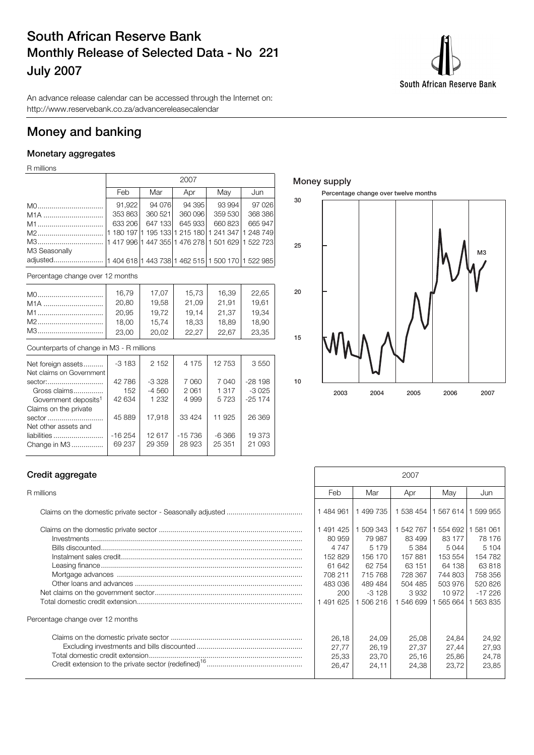## **South African Reserve Bank Monthly Release of Selected Data - No 221 July 2007**



An advance release calendar can be accessed through the Internet on: http://www.reservebank.co.za/advancereleasecalendar

## **Money and banking**

#### **Monetary aggregates**

R millions

|                                  |                                                   | 2007 |         |        |  |         |        |  |     |         |     |  |         |
|----------------------------------|---------------------------------------------------|------|---------|--------|--|---------|--------|--|-----|---------|-----|--|---------|
|                                  | Feb                                               |      | Mar     |        |  | Apr     |        |  | May |         | Jun |  |         |
| MO                               | 91,922                                            |      |         | 94 076 |  |         | 94 395 |  |     | 93 994  |     |  | 97 0 26 |
| M <sub>1</sub> A                 | 353863                                            |      | 360 521 |        |  | 360 096 |        |  |     | 359 530 |     |  | 368 386 |
| M1                               | 633 206                                           |      | 647 133 |        |  | 645 933 |        |  |     | 660 823 |     |  | 665 947 |
|                                  | 1 180 197 1 195 133 1 215 180 1 241 347 1 248 749 |      |         |        |  |         |        |  |     |         |     |  |         |
| M3                               | 1 417 996 1 447 355 1 476 278 1 501 629 1 522 723 |      |         |        |  |         |        |  |     |         |     |  |         |
| M3 Seasonally                    |                                                   |      |         |        |  |         |        |  |     |         |     |  |         |
| adjusted                         | 1 404 618 1 443 738 1 462 515 1 500 170 1 522 985 |      |         |        |  |         |        |  |     |         |     |  |         |
| Percentage change over 12 months |                                                   |      |         |        |  |         |        |  |     |         |     |  |         |

| MO               | 16,79 | 17.07 | 15,73 | 16,39 | 22,65 |
|------------------|-------|-------|-------|-------|-------|
| M <sub>1</sub> A | 20,80 | 19,58 | 21.09 | 21.91 | 19.61 |
| M1               | 20,95 | 19.72 | 19.14 | 21.37 | 19,34 |
| M2               | 18,00 | 15,74 | 18,33 | 18,89 | 18,90 |
| M3               | 23.00 | 20.02 | 22.27 | 22.67 | 23.35 |

#### Counterparts of change in M3 - R millions

| Net foreign assets               | $-3183$  | 2 1 5 2 | 4 1 7 5  | 12 753  | 3550     |
|----------------------------------|----------|---------|----------|---------|----------|
| Net claims on Government         |          |         |          |         |          |
| sector:                          | 42 786   | $-3328$ | 7 0 6 0  | 7 0 4 0 | $-28198$ |
| Gross claims                     | 152      | $-4560$ | 2 0 6 1  | 1 3 1 7 | $-3025$  |
| Government deposits <sup>1</sup> | 42 634   | 1 2 3 2 | 4 9 9 9  | 5723    | $-25174$ |
| Claims on the private            |          |         |          |         |          |
| sector                           | 45 889   | 17.918  | 33 4 24  | 11 925  | 26 369   |
| Net other assets and             |          |         |          |         |          |
| liabilities                      | $-16254$ | 12 617  | $-15736$ | -6366   | 19373    |
| Change in M3                     | 69 237   | 29 35 9 | 28 923   | 25 351  | 21 093   |
|                                  |          |         |          |         |          |

#### **Money supply**



#### **Credit aggregate**

| Percentage change over 12 months |  |
|----------------------------------|--|
|                                  |  |
|                                  |  |

| Credit aggregate                 |                                                                                           |                                                                                                | 2007                                                                                        |                                                                                             |                                                                                              |
|----------------------------------|-------------------------------------------------------------------------------------------|------------------------------------------------------------------------------------------------|---------------------------------------------------------------------------------------------|---------------------------------------------------------------------------------------------|----------------------------------------------------------------------------------------------|
| R millions                       | Feb                                                                                       | Mar                                                                                            | Apr                                                                                         | Mav                                                                                         | Jun                                                                                          |
|                                  | 484 961                                                                                   | 1499735                                                                                        | 1 538 454                                                                                   | 1 567 614                                                                                   | 599 955                                                                                      |
|                                  | 491 425<br>80 959<br>4 7 4 7<br>152 829<br>61 642<br>708 211<br>483 036<br>200<br>491 625 | 1 509 343<br>79 987<br>5 1 7 9<br>156 170<br>62 754<br>715768<br>489 484<br>$-3128$<br>506 216 | 1 542 767<br>83 499<br>5 3 8 4<br>157881<br>63 151<br>728 367<br>504 485<br>3932<br>546 699 | 1 554 692<br>83 177<br>5044<br>153 554<br>64 138<br>744 803<br>503 976<br>10 972<br>565 664 | 581 061<br>78 176<br>5 104<br>154 782<br>63 818<br>758 356<br>520 826<br>$-17226$<br>563 835 |
| Percentage change over 12 months |                                                                                           |                                                                                                |                                                                                             |                                                                                             |                                                                                              |
|                                  | 26.18<br>27.77<br>25,33<br>26.47                                                          | 24.09<br>26,19<br>23.70<br>24,11                                                               | 25,08<br>27,37<br>25,16<br>24,38                                                            | 24.84<br>27,44<br>25,86<br>23.72                                                            | 24,92<br>27,93<br>24,78<br>23,85                                                             |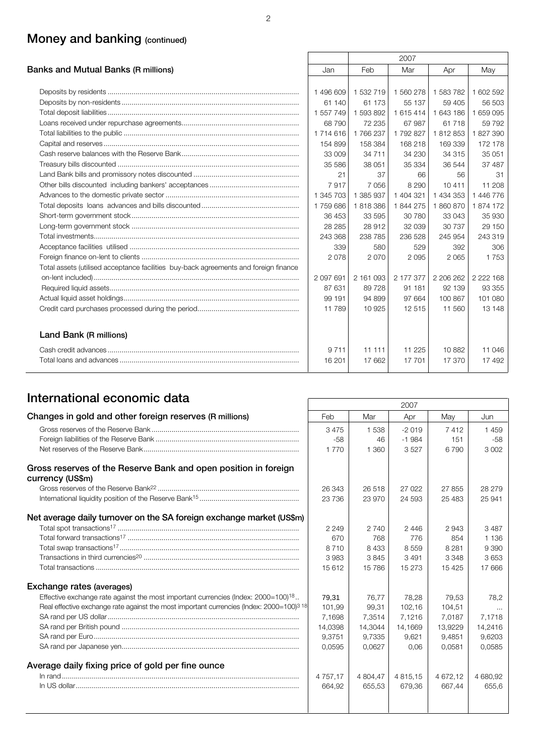## **Money and banking (continued)**

|                                                                                      |           |           | 2007      |           |             |
|--------------------------------------------------------------------------------------|-----------|-----------|-----------|-----------|-------------|
| Banks and Mutual Banks (R millions)                                                  | Jan       | Feb       | Mar       | Apr       | May         |
|                                                                                      |           |           |           |           |             |
|                                                                                      | 1496609   | 1 532 719 | 1 560 278 | 1 583 782 | 1 602 592   |
|                                                                                      | 61 140    | 61 173    | 55 137    | 59 405    | 56 503      |
|                                                                                      | 1 557 749 | 1 593 892 | 1615414   | 1 643 186 | 1659095     |
|                                                                                      | 68 790    | 72 235    | 67 987    | 61718     | 59 792      |
|                                                                                      | 1714616   | 1766237   | 1792827   | 1812853   | 1827390     |
|                                                                                      | 154 899   | 158 384   | 168 218   | 169 339   | 172 178     |
|                                                                                      | 33 009    | 34 7 11   | 34 230    | 34 315    | 35 051      |
|                                                                                      | 35 586    | 38 051    | 35 334    | 36 544    | 37 487      |
|                                                                                      | 21        | 37        | 66        | 56        | -31         |
|                                                                                      | 7917      | 7056      | 8 2 9 0   | 10411     | 11 208      |
|                                                                                      | 1 345 703 | 1 385 937 | 1 404 321 | 1 434 353 | 1 446 776   |
|                                                                                      | 1759686   | 1818386   | 1844275   | 1860870   | 1874172     |
|                                                                                      | 36 453    | 33 595    | 30 780    | 33 043    | 35 930      |
|                                                                                      | 28 285    | 28 912    | 32 039    | 30 737    | 29 150      |
|                                                                                      | 243 368   | 238 785   | 236 528   | 245 954   | 243 319     |
|                                                                                      | 339       | 580       | 529       | 392       | 306         |
|                                                                                      | 2078      | 2070      | 2 0 9 5   | 2065      | 1753        |
| Total assets (utilised acceptance facilities buy-back agreements and foreign finance |           |           |           |           |             |
|                                                                                      | 2 097 691 | 2 161 093 | 2 177 377 | 2 206 262 | 2 2 2 1 6 8 |
|                                                                                      | 87 631    | 89728     | 91 181    | 92 139    | 93 355      |
|                                                                                      | 99 191    | 94 899    | 97 664    | 100867    | 101 080     |
|                                                                                      | 11 789    | 10 9 25   | 12 515    | 11 560    | 13 148      |
| Land Bank (R millions)                                                               |           |           |           |           |             |
|                                                                                      | 9711      | 11 111    | 11 2 25   | 10882     | 11 046      |
|                                                                                      | 16 201    | 17 662    | 17 701    | 17 370    | 17 492      |

## **International economic data** 2007

|                                                                                                                 |               |          | 2007          |          |          |
|-----------------------------------------------------------------------------------------------------------------|---------------|----------|---------------|----------|----------|
| Changes in gold and other foreign reserves (R millions)                                                         | Feb           | Mar      | Apr           | May      | Jun      |
|                                                                                                                 | 3475          | 1 5 3 8  | $-2019$       | 7412     | 1459     |
|                                                                                                                 | $-58$         | 46       | $-1984$       | 151      | $-58$    |
|                                                                                                                 | 1770          | 1 3 6 0  | 3527          | 6790     | 3 0 0 2  |
| Gross reserves of the Reserve Bank and open position in foreign<br>currency (US\$m)                             |               |          |               |          |          |
|                                                                                                                 | 26 343        | 26 518   | 27 022        | 27 855   | 28 279   |
|                                                                                                                 | 23736         | 23 970   | 24 593        | 25 483   | 25 941   |
| Net average daily turnover on the SA foreign exchange market (US\$m)                                            |               |          |               |          |          |
|                                                                                                                 | 2 2 4 9       | 2 740    | 2446          | 2943     | 3487     |
|                                                                                                                 | 670           | 768      | 776           | 854      | 1 1 3 6  |
|                                                                                                                 | 8710          | 8433     | 8559          | 8 2 8 1  | 9 3 9 0  |
|                                                                                                                 | 3983          | 3845     | 3491          | 3 3 4 8  | 3653     |
|                                                                                                                 | 15 612        | 15 786   | 15 273        | 15 4 25  | 17666    |
| Exchange rates (averages)                                                                                       |               |          |               |          |          |
| Effective exchange rate against the most important currencies (lndex: $2000=100$ ) <sup>18</sup>                | 79,31         | 76,77    | 78,28         | 79,53    | 78,2     |
| Real effective exchange rate against the most important currencies (Index: 2000=100) <sup>3</sup> <sup>18</sup> | 101.99        | 99.31    | 102.16        | 104.51   |          |
|                                                                                                                 | 7.1698        | 7.3514   | 7,1216        | 7,0187   | 7.1718   |
|                                                                                                                 | 14,0398       | 14.3044  | 14.1669       | 13,9229  | 14,2416  |
|                                                                                                                 | 9,3751        | 9,7335   | 9.621         | 9,4851   | 9,6203   |
|                                                                                                                 | 0.0595        | 0.0627   | 0.06          | 0.0581   | 0.0585   |
| Average daily fixing price of gold per fine ounce                                                               |               |          |               |          |          |
|                                                                                                                 | 4 7 5 7 . 1 7 | 4 804,47 | 4 8 1 5 . 1 5 | 4 672,12 | 4 680,92 |
|                                                                                                                 | 664,92        | 655.53   | 679.36        | 667.44   | 655,6    |
|                                                                                                                 |               |          |               |          |          |
|                                                                                                                 |               |          |               |          |          |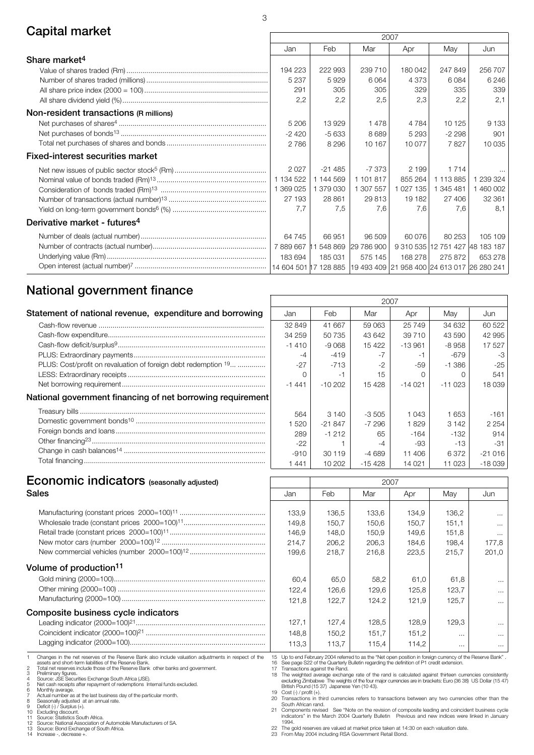## **Capital market** 2007

|                                          |            |          |                                                                   | LUU I     |           |                                 |
|------------------------------------------|------------|----------|-------------------------------------------------------------------|-----------|-----------|---------------------------------|
|                                          | Jan        | Feb      | Mar                                                               | Apr       | Mav       | Jun                             |
| Share market <sup>4</sup>                |            |          |                                                                   |           |           |                                 |
|                                          | 194 223    | 222 993  | 239 710                                                           | 180 042   | 247849    | 256 707                         |
|                                          | 5 2 3 7    | 5929     | 6064                                                              | 4 373     | 6084      | 6 2 4 6                         |
|                                          | 291        | 305      | 305                                                               | 329       | 335       | 339                             |
|                                          | 2,2        | 2,2      | 2,5                                                               | 2,3       | 2,2       | 2,1                             |
| Non-resident transactions (R millions)   |            |          |                                                                   |           |           |                                 |
|                                          | 5 2 0 6    | 13929    | 1478                                                              | 4 7 8 4   | 10 1 25   | 9 1 3 3                         |
|                                          | $-2420$    | $-5633$  | 8689                                                              | 5 2 9 3   | $-2298$   | 901                             |
|                                          | 2 7 8 6    | 8 2 9 6  | 10 167                                                            | 10 077    | 7827      | 10 0 35                         |
| <b>Fixed-interest securities market</b>  |            |          |                                                                   |           |           |                                 |
|                                          | 2027       | $-21485$ | $-7.373$                                                          | 2 1 9 9   | 1 7 1 4   | $\cdots$                        |
|                                          | 1 134 522  | 144 569  | 1 101 817                                                         | 855 264   | 1 113 885 | 1 239 324                       |
|                                          | 1 369 025  | 379 030  | 1 307 557                                                         | 1 027 135 | 1 345 481 | 1 460 002                       |
|                                          | 27 193     | 28 861   | 29813                                                             | 19 182    | 27 406    | 32 361                          |
|                                          | 7.7        | 7.5      | 7.6                                                               | 7.6       | 7.6       | 8.1                             |
| Derivative market - futures <sup>4</sup> |            |          |                                                                   |           |           |                                 |
|                                          | 64 745     | 66 951   | 96 509                                                            | 60 076    | 80 253    | 105 109                         |
|                                          | 7889667 11 | 548 869  | 29 786 900                                                        |           |           | 9 310 535 12 751 427 48 183 187 |
|                                          | 183 694    | 185 031  | 575 145                                                           | 168 278   | 275 872   | 653 278                         |
|                                          |            |          | 14 604 501 17 128 885 19 493 409 21 958 400 24 613 017 26 280 241 |           |           |                                 |

## **National government finance**

|                                                                |         |           | 2007     |          |          |          |
|----------------------------------------------------------------|---------|-----------|----------|----------|----------|----------|
| Statement of national revenue, expenditure and borrowing       | Jan     | Feb       | Mar      | Apr      | May      | Jun      |
|                                                                | 32 849  | 41 667    | 59 063   | 25 749   | 34 632   | 60 522   |
|                                                                | 34 259  | 50 735    | 43 642   | 39 710   | 43 590   | 42 995   |
|                                                                | $-1410$ | $-9068$   | 15 4 22  | $-13961$ | $-8958$  | 17 527   |
|                                                                | -4      | $-419$    |          |          | $-679$   | -3       |
| PLUS: Cost/profit on revaluation of foreign debt redemption 19 | $-27$   | $-713$    | $-2$     | -59      | $-1.386$ | $-25$    |
|                                                                |         | ÷.        | 15       |          |          | 541      |
|                                                                | $-1441$ | $-10,202$ | 15 4 28  | $-14021$ | $-11023$ | 18 0 39  |
| National government financing of net borrowing requirement     |         |           |          |          |          |          |
|                                                                | 564     | 3 140     | $-3505$  | 1 0 4 3  | 1653     | $-161$   |
|                                                                | 520     | $-21847$  | $-7296$  | 1829     | 3 142    | 2 2 5 4  |
|                                                                | 289     | $-1212$   | 65       | $-164$   | -132     | 914      |
|                                                                | $-22$   |           | -4       | -93      | $-13$    | $-31$    |
|                                                                | $-910$  | 30 119    | $-4689$  | 11 406   | 6372     | $-21016$ |
|                                                                | 1 441   | 10 202    | $-15428$ | 14 021   | 11 023   | $-18039$ |

# **Economic indicators** (seasonally adjusted) **12007**

| Sales                                                                                                                                                          | Jan                               | Feb                                                    | Mar   | Apr                                                                                                                                                                                                      | May      | Jun               |
|----------------------------------------------------------------------------------------------------------------------------------------------------------------|-----------------------------------|--------------------------------------------------------|-------|----------------------------------------------------------------------------------------------------------------------------------------------------------------------------------------------------------|----------|-------------------|
|                                                                                                                                                                | 133,9                             | 136,5                                                  | 133,6 | 134,9                                                                                                                                                                                                    | 136,2    |                   |
|                                                                                                                                                                | 149,8                             | 150,7                                                  | 150,6 | 150,7                                                                                                                                                                                                    | 151,1    | $\cdots$          |
|                                                                                                                                                                | 146,9                             | 148,0                                                  | 150,9 | 149.6                                                                                                                                                                                                    | 151,8    |                   |
|                                                                                                                                                                | 214,7                             | 206,2                                                  | 206,3 | 184.6                                                                                                                                                                                                    | 198.4    | $\cdots$<br>177,8 |
|                                                                                                                                                                | 199,6                             | 218,7                                                  | 216,8 | 223,5                                                                                                                                                                                                    | 215.7    | 201,0             |
|                                                                                                                                                                |                                   |                                                        |       |                                                                                                                                                                                                          |          |                   |
| Volume of production <sup>11</sup>                                                                                                                             |                                   |                                                        |       |                                                                                                                                                                                                          |          |                   |
|                                                                                                                                                                | 60,4                              | 65,0                                                   | 58,2  | 61,0                                                                                                                                                                                                     | 61,8     | $\cdots$          |
|                                                                                                                                                                | 122,4                             | 126,6                                                  | 129,6 | 125,8                                                                                                                                                                                                    | 123,7    | $\cdots$          |
|                                                                                                                                                                | 121,8                             | 122,7                                                  | 124.2 | 121,9                                                                                                                                                                                                    | 125,7    | $\cdots$          |
| Composite business cycle indicators                                                                                                                            |                                   |                                                        |       |                                                                                                                                                                                                          |          |                   |
|                                                                                                                                                                | 127,1                             | 127,4                                                  | 128,5 | 128,9                                                                                                                                                                                                    | 129,3    |                   |
|                                                                                                                                                                | 148,8                             | 150,2                                                  | 151,7 | 151,2                                                                                                                                                                                                    | $\cdots$ | $\cdots$          |
|                                                                                                                                                                | 113,3                             | 113.7                                                  | 115.4 | 114.2                                                                                                                                                                                                    | $\cdots$ | $\cdots$          |
| Changes in the net reserves of the Reserve Bank also include valuation adjustments in respect of the<br>assets and short-term liabilities of the Reserve Bank. |                                   |                                                        |       | 15 Up to end February 2004 referred to as the "Net open position in foreign currency of the Reserve Bank".<br>16 See page S22 of the Quarterly Bulletin regarding the definition of P1 credit extension. |          |                   |
| Total net reserves include those of the Reserve Bank other banks and government.                                                                               | 17 Transactions against the Rand. |                                                        |       |                                                                                                                                                                                                          |          |                   |
| Preliminary figures.<br>Source: JSE Securities Exchange South Africa (JSE).                                                                                    |                                   |                                                        |       | 18 The weighted average exchange rate of the rand is calculated against thirteen currencies consistentl                                                                                                  |          |                   |
| Net cash receipts after repayment of redemptions Internal funds excluded.                                                                                      |                                   | British Pound (15 37) Japanese Yen (10 43).            |       | excluding Zimbabwe The weights of the four major currencies are in brackets: Euro (36 38) US Dollar (15 47                                                                                               |          |                   |
| Monthly average.<br>Actual number as at the last business day of the particular month.                                                                         | 19 $Cost (-) / profit (+)$ .      |                                                        |       |                                                                                                                                                                                                          |          |                   |
| Seasonally adjusted at an annual rate.                                                                                                                         | South African rand.               |                                                        |       | 20 Transactions in third currencies refers to transactions between any two currencies other than the                                                                                                     |          |                   |
| Deficit (-) / Surplus (+).<br>10 Excluding discount.                                                                                                           |                                   |                                                        |       | 21 Components revised See "Note on the revision of composite leading and coincident business cycle                                                                                                       |          |                   |
| Source: Statistics South Africa.                                                                                                                               |                                   |                                                        |       | indicators" in the March 2004 Quarterly Bulletin  Previous and new indices were linked in Januar                                                                                                         |          |                   |
| 12 Source: National Association of Automobile Manufacturers of SA.<br>13 Source: Bond Exchange of South Africa.                                                | 1994.                             |                                                        |       | 22 The gold reserves are valued at market price taken at 14:30 on each valuation date.                                                                                                                   |          |                   |
| 14 Increase -, decrease +.                                                                                                                                     |                                   | 23 From May 2004 including RSA Government Retail Bond. |       |                                                                                                                                                                                                          |          |                   |